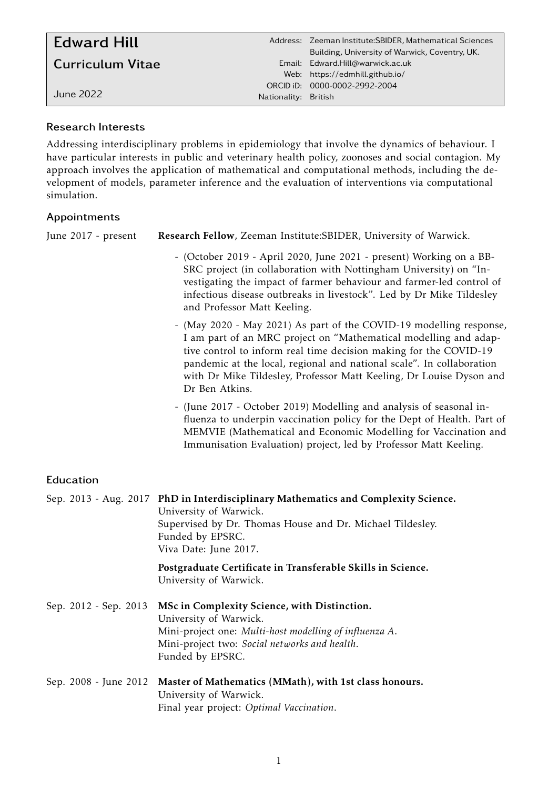| <b>Edward Hill</b>      |                      | Address: Zeeman Institute: SBIDER, Mathematical Sciences<br>Building, University of Warwick, Coventry, UK. |
|-------------------------|----------------------|------------------------------------------------------------------------------------------------------------|
| <b>Curriculum Vitae</b> |                      | Email: Edward.Hill@warwick.ac.uk<br>Web: https://edmhill.github.io/                                        |
| June 2022.              | Nationality: British | ORCID iD: 0000-0002-2992-2004                                                                              |

## Research Interests

Addressing interdisciplinary problems in epidemiology that involve the dynamics of behaviour. I have particular interests in public and veterinary health policy, zoonoses and social contagion. My approach involves the application of mathematical and computational methods, including the development of models, parameter inference and the evaluation of interventions via computational simulation.

## Appointments

| June 2017 - present   | Research Fellow, Zeeman Institute: SBIDER, University of Warwick.                                                                                                                                                                                                                                                                                                              |
|-----------------------|--------------------------------------------------------------------------------------------------------------------------------------------------------------------------------------------------------------------------------------------------------------------------------------------------------------------------------------------------------------------------------|
|                       | - (October 2019 - April 2020, June 2021 - present) Working on a BB-<br>SRC project (in collaboration with Nottingham University) on "In-<br>vestigating the impact of farmer behaviour and farmer-led control of<br>infectious disease outbreaks in livestock". Led by Dr Mike Tildesley<br>and Professor Matt Keeling.                                                        |
|                       | - (May 2020 - May 2021) As part of the COVID-19 modelling response,<br>I am part of an MRC project on "Mathematical modelling and adap-<br>tive control to inform real time decision making for the COVID-19<br>pandemic at the local, regional and national scale". In collaboration<br>with Dr Mike Tildesley, Professor Matt Keeling, Dr Louise Dyson and<br>Dr Ben Atkins. |
|                       | - (June 2017 - October 2019) Modelling and analysis of seasonal in-<br>fluenza to underpin vaccination policy for the Dept of Health. Part of<br>MEMVIE (Mathematical and Economic Modelling for Vaccination and<br>Immunisation Evaluation) project, led by Professor Matt Keeling.                                                                                           |
| Education             |                                                                                                                                                                                                                                                                                                                                                                                |
|                       | Sep. 2013 - Aug. 2017 PhD in Interdisciplinary Mathematics and Complexity Science.<br>University of Warwick.                                                                                                                                                                                                                                                                   |
|                       | Supervised by Dr. Thomas House and Dr. Michael Tildesley.<br>Funded by EPSRC.<br>Viva Date: June 2017.                                                                                                                                                                                                                                                                         |
|                       | Postgraduate Certificate in Transferable Skills in Science.<br>University of Warwick.                                                                                                                                                                                                                                                                                          |
| Sep. 2012 - Sep. 2013 | MSc in Complexity Science, with Distinction.<br>University of Warwick.<br>Mini-project one: Multi-host modelling of influenza A.<br>Mini-project two: Social networks and health.<br>Funded by EPSRC.                                                                                                                                                                          |
| Sep. 2008 - June 2012 | Master of Mathematics (MMath), with 1st class honours.<br>University of Warwick.<br>Final year project: Optimal Vaccination.                                                                                                                                                                                                                                                   |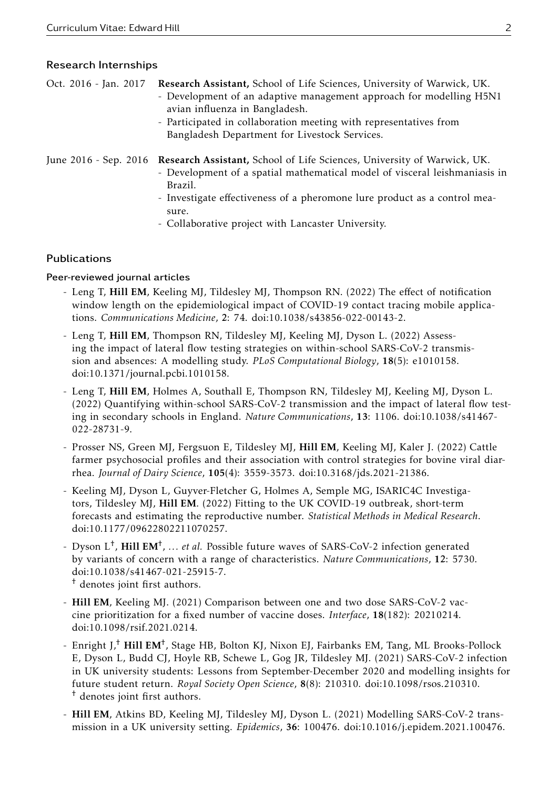#### Research Internships

| Oct. 2016 - Jan. 2017 Research Assistant, School of Life Sciences, University of Warwick, UK.<br>- Development of an adaptive management approach for modelling H5N1<br>avian influenza in Bangladesh.<br>- Participated in collaboration meeting with representatives from<br>Bangladesh Department for Livestock Services.       |
|------------------------------------------------------------------------------------------------------------------------------------------------------------------------------------------------------------------------------------------------------------------------------------------------------------------------------------|
| June 2016 - Sep. 2016 Research Assistant, School of Life Sciences, University of Warwick, UK.<br>- Development of a spatial mathematical model of visceral leishmaniasis in<br>Brazil.<br>- Investigate effectiveness of a pheromone lure product as a control mea-<br>sure.<br>- Collaborative project with Lancaster University. |

### Publications

#### Peer-reviewed journal articles

- Leng T, Hill EM, Keeling MJ, Tildesley MJ, Thompson RN. (2022) The effect of notification window length on the epidemiological impact of COVID-19 contact tracing mobile applications. *Communications Medicine*, 2: 74. doi:10.1038/s43856-022-00143-2.
- Leng T, Hill EM, Thompson RN, Tildesley MJ, Keeling MJ, Dyson L. (2022) Assessing the impact of lateral flow testing strategies on within-school SARS-CoV-2 transmission and absences: A modelling study. *PLoS Computational Biology*, 18(5): e1010158. doi:10.1371/journal.pcbi.1010158.
- Leng T, Hill EM, Holmes A, Southall E, Thompson RN, Tildesley MJ, Keeling MJ, Dyson L. (2022) Quantifying within-school SARS-CoV-2 transmission and the impact of lateral flow testing in secondary schools in England. *Nature Communications*, 13: 1106. doi:10.1038/s41467- 022-28731-9.
- Prosser NS, Green MJ, Fergsuon E, Tildesley MJ, Hill EM, Keeling MJ, Kaler J. (2022) Cattle farmer psychosocial profiles and their association with control strategies for bovine viral diarrhea. *Journal of Dairy Science*, 105(4): 3559-3573. doi:10.3168/jds.2021-21386.
- Keeling MJ, Dyson L, Guyver-Fletcher G, Holmes A, Semple MG, ISARIC4C Investigators, Tildesley MJ, Hill EM. (2022) Fitting to the UK COVID-19 outbreak, short-term forecasts and estimating the reproductive number. *Statistical Methods in Medical Research*. doi:10.1177/09622802211070257.
- Dyson L<sup>+</sup>, Hill EM<sup>+</sup>, ... *et al*. Possible future waves of SARS-CoV-2 infection generated by variants of concern with a range of characteristics. *Nature Communications*, 12: 5730. doi:10.1038/s41467-021-25915-7.
	- † denotes joint first authors.
- Hill EM, Keeling MJ. (2021) Comparison between one and two dose SARS-CoV-2 vaccine prioritization for a fixed number of vaccine doses. *Interface*, 18(182): 20210214. doi:10.1098/rsif.2021.0214.
- Enright J,<sup>†</sup> Hill EM<sup>†</sup>, Stage HB, Bolton KJ, Nixon EJ, Fairbanks EM, Tang, ML Brooks-Pollock E, Dyson L, Budd CJ, Hoyle RB, Schewe L, Gog JR, Tildesley MJ. (2021) SARS-CoV-2 infection in UK university students: Lessons from September-December 2020 and modelling insights for future student return. *Royal Society Open Science*, 8(8): 210310. doi:10.1098/rsos.210310. † denotes joint first authors.
- Hill EM, Atkins BD, Keeling MJ, Tildesley MJ, Dyson L. (2021) Modelling SARS-CoV-2 transmission in a UK university setting. *Epidemics*, 36: 100476. doi:10.1016/j.epidem.2021.100476.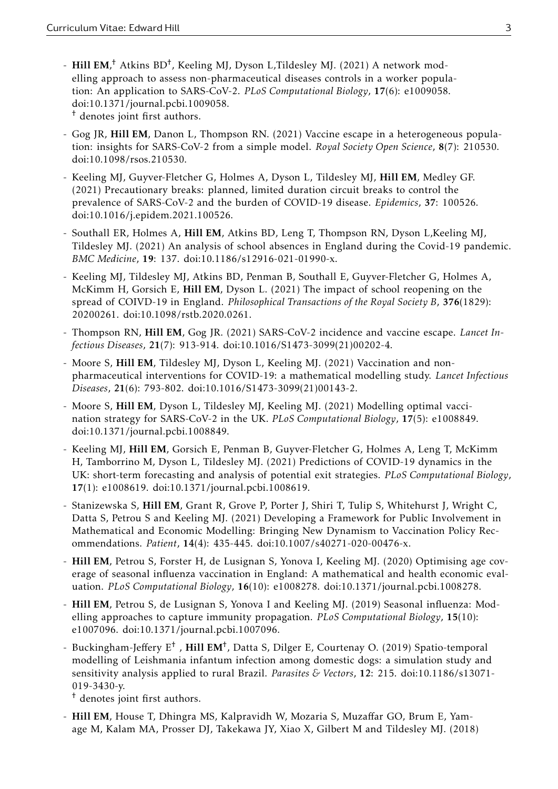- Hill EM,<sup>†</sup> Atkins BD<sup>†</sup>, Keeling MJ, Dyson L,Tildesley MJ. (2021) A network modelling approach to assess non-pharmaceutical diseases controls in a worker population: An application to SARS-CoV-2. *PLoS Computational Biology*, 17(6): e1009058. doi:10.1371/journal.pcbi.1009058.

† denotes joint first authors.

- Gog JR, Hill EM, Danon L, Thompson RN. (2021) Vaccine escape in a heterogeneous population: insights for SARS-CoV-2 from a simple model. *Royal Society Open Science*, 8(7): 210530. doi:10.1098/rsos.210530.
- Keeling MJ, Guyver-Fletcher G, Holmes A, Dyson L, Tildesley MJ, Hill EM, Medley GF. (2021) Precautionary breaks: planned, limited duration circuit breaks to control the prevalence of SARS-CoV-2 and the burden of COVID-19 disease. *Epidemics*, 37: 100526. doi:10.1016/j.epidem.2021.100526.
- Southall ER, Holmes A, Hill EM, Atkins BD, Leng T, Thompson RN, Dyson L,Keeling MJ, Tildesley MJ. (2021) An analysis of school absences in England during the Covid-19 pandemic. *BMC Medicine*, 19: 137. doi:10.1186/s12916-021-01990-x.
- Keeling MJ, Tildesley MJ, Atkins BD, Penman B, Southall E, Guyver-Fletcher G, Holmes A, McKimm H, Gorsich E, Hill EM, Dyson L. (2021) The impact of school reopening on the spread of COIVD-19 in England. *Philosophical Transactions of the Royal Society B*, 376(1829): 20200261. doi:10.1098/rstb.2020.0261.
- Thompson RN, Hill EM, Gog JR. (2021) SARS-CoV-2 incidence and vaccine escape. *Lancet Infectious Diseases*, 21(7): 913-914. doi:10.1016/S1473-3099(21)00202-4.
- Moore S, Hill EM, Tildesley MJ, Dyson L, Keeling MJ. (2021) Vaccination and nonpharmaceutical interventions for COVID-19: a mathematical modelling study. *Lancet Infectious Diseases*, 21(6): 793-802. doi:10.1016/S1473-3099(21)00143-2.
- Moore S, Hill EM, Dyson L, Tildesley MJ, Keeling MJ. (2021) Modelling optimal vaccination strategy for SARS-CoV-2 in the UK. *PLoS Computational Biology*, 17(5): e1008849. doi:10.1371/journal.pcbi.1008849.
- Keeling MJ, Hill EM, Gorsich E, Penman B, Guyver-Fletcher G, Holmes A, Leng T, McKimm H, Tamborrino M, Dyson L, Tildesley MJ. (2021) Predictions of COVID-19 dynamics in the UK: short-term forecasting and analysis of potential exit strategies. *PLoS Computational Biology*, 17(1): e1008619. doi:10.1371/journal.pcbi.1008619.
- Stanizewska S, Hill EM, Grant R, Grove P, Porter J, Shiri T, Tulip S, Whitehurst J, Wright C, Datta S, Petrou S and Keeling MJ. (2021) Developing a Framework for Public Involvement in Mathematical and Economic Modelling: Bringing New Dynamism to Vaccination Policy Recommendations. *Patient*, 14(4): 435-445. doi:10.1007/s40271-020-00476-x.
- Hill EM, Petrou S, Forster H, de Lusignan S, Yonova I, Keeling MJ. (2020) Optimising age coverage of seasonal influenza vaccination in England: A mathematical and health economic evaluation. *PLoS Computational Biology*, 16(10): e1008278. doi:10.1371/journal.pcbi.1008278.
- Hill EM, Petrou S, de Lusignan S, Yonova I and Keeling MJ. (2019) Seasonal influenza: Modelling approaches to capture immunity propagation. *PLoS Computational Biology*, 15(10): e1007096. doi:10.1371/journal.pcbi.1007096.
- Buckingham-Jeffery E<sup>†</sup>, Hill EM<sup>†</sup>, Datta S, Dilger E, Courtenay O. (2019) Spatio-temporal modelling of Leishmania infantum infection among domestic dogs: a simulation study and sensitivity analysis applied to rural Brazil. *Parasites & Vectors*, 12: 215. doi:10.1186/s13071- 019-3430-y.

† denotes joint first authors.

- Hill EM, House T, Dhingra MS, Kalpravidh W, Mozaria S, Muzaffar GO, Brum E, Yamage M, Kalam MA, Prosser DJ, Takekawa JY, Xiao X, Gilbert M and Tildesley MJ. (2018)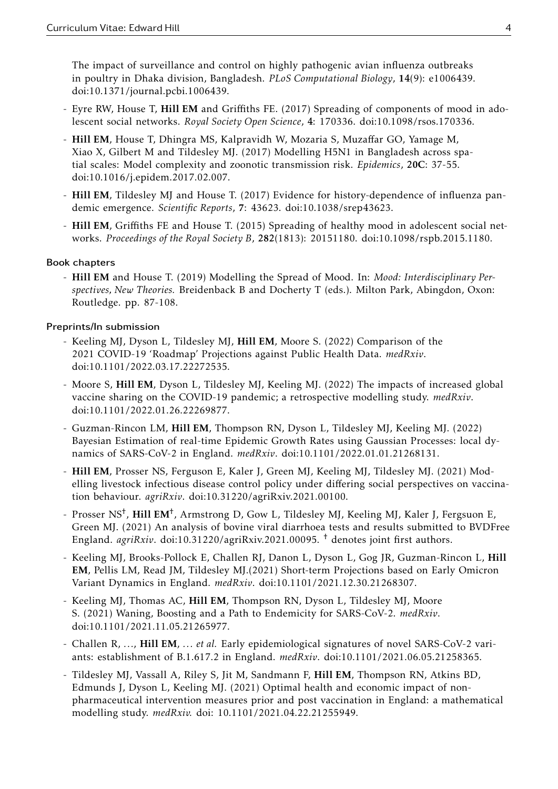The impact of surveillance and control on highly pathogenic avian influenza outbreaks in poultry in Dhaka division, Bangladesh. *PLoS Computational Biology*, 14(9): e1006439. doi:10.1371/journal.pcbi.1006439.

- Eyre RW, House T, Hill EM and Griffiths FE. (2017) Spreading of components of mood in adolescent social networks. *Royal Society Open Science*, 4: 170336. doi:10.1098/rsos.170336.
- Hill EM, House T, Dhingra MS, Kalpravidh W, Mozaria S, Muzaffar GO, Yamage M, Xiao X, Gilbert M and Tildesley MJ. (2017) Modelling H5N1 in Bangladesh across spatial scales: Model complexity and zoonotic transmission risk. *Epidemics*, 20C: 37-55. doi:10.1016/j.epidem.2017.02.007.
- Hill EM, Tildesley MJ and House T. (2017) Evidence for history-dependence of influenza pandemic emergence. *Scientific Reports*, 7: 43623. doi:10.1038/srep43623.
- Hill EM, Griffiths FE and House T. (2015) Spreading of healthy mood in adolescent social networks. *Proceedings of the Royal Society B*, 282(1813): 20151180. doi:10.1098/rspb.2015.1180.

## Book chapters

- Hill EM and House T. (2019) Modelling the Spread of Mood. In: *Mood: Interdisciplinary Perspectives, New Theories.* Breidenback B and Docherty T (eds.). Milton Park, Abingdon, Oxon: Routledge. pp. 87-108.

## Preprints/In submission

- Keeling MJ, Dyson L, Tildesley MJ, Hill EM, Moore S. (2022) Comparison of the 2021 COVID-19 'Roadmap' Projections against Public Health Data. *medRxiv*. doi:10.1101/2022.03.17.22272535.
- Moore S, Hill EM, Dyson L, Tildesley MJ, Keeling MJ. (2022) The impacts of increased global vaccine sharing on the COVID-19 pandemic; a retrospective modelling study. *medRxiv*. doi:10.1101/2022.01.26.22269877.
- Guzman-Rincon LM, Hill EM, Thompson RN, Dyson L, Tildesley MJ, Keeling MJ. (2022) Bayesian Estimation of real-time Epidemic Growth Rates using Gaussian Processes: local dynamics of SARS-CoV-2 in England. *medRxiv*. doi:10.1101/2022.01.01.21268131.
- Hill EM, Prosser NS, Ferguson E, Kaler J, Green MJ, Keeling MJ, Tildesley MJ. (2021) Modelling livestock infectious disease control policy under differing social perspectives on vaccination behaviour. *agriRxiv*. doi:10.31220/agriRxiv.2021.00100.
- Prosser NS<sup>†</sup>, Hill EM<sup>†</sup>, Armstrong D, Gow L, Tildesley MJ, Keeling MJ, Kaler J, Fergsuon E, Green MJ. (2021) An analysis of bovine viral diarrhoea tests and results submitted to BVDFree England. *agriRxiv*. doi:10.31220/agriRxiv.2021.00095. † denotes joint first authors.
- Keeling MJ, Brooks-Pollock E, Challen RJ, Danon L, Dyson L, Gog JR, Guzman-Rincon L, Hill EM, Pellis LM, Read JM, Tildesley MJ.(2021) Short-term Projections based on Early Omicron Variant Dynamics in England. *medRxiv*. doi:10.1101/2021.12.30.21268307.
- Keeling MJ, Thomas AC, Hill EM, Thompson RN, Dyson L, Tildesley MJ, Moore S. (2021) Waning, Boosting and a Path to Endemicity for SARS-CoV-2. *medRxiv*. doi:10.1101/2021.11.05.21265977.
- Challen R, *...*, Hill EM, *... et al.* Early epidemiological signatures of novel SARS-CoV-2 variants: establishment of B.1.617.2 in England. *medRxiv*. doi:10.1101/2021.06.05.21258365.
- Tildesley MJ, Vassall A, Riley S, Jit M, Sandmann F, Hill EM, Thompson RN, Atkins BD, Edmunds J, Dyson L, Keeling MJ. (2021) Optimal health and economic impact of nonpharmaceutical intervention measures prior and post vaccination in England: a mathematical modelling study. *medRxiv.* doi: 10.1101/2021.04.22.21255949.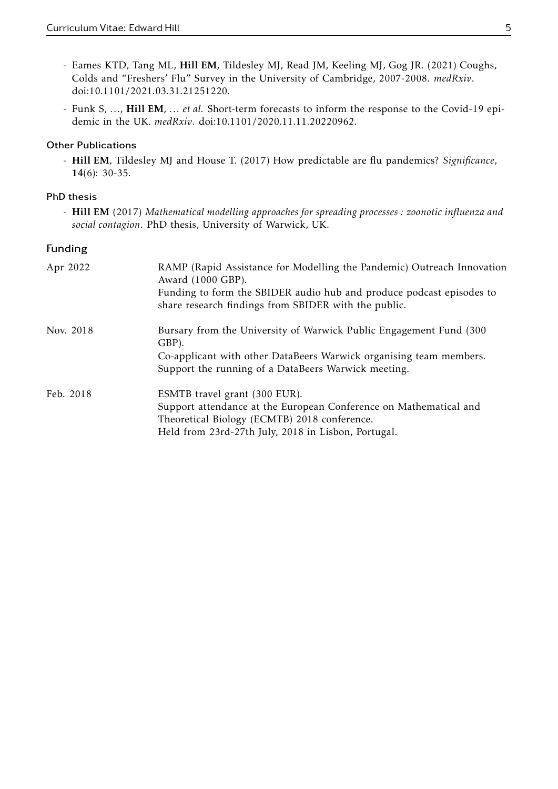- Eames KTD, Tang ML, Hill EM, Tildesley MJ, Read JM, Keeling MJ, Gog JR. (2021) Coughs, Colds and "Freshers' Flu" Survey in the University of Cambridge, 2007-2008. *medRxiv*. doi:10.1101/2021.03.31.21251220.
- Funk S, *...*, Hill EM, *... et al.* Short-term forecasts to inform the response to the Covid-19 epidemic in the UK. *medRxiv*. doi:10.1101/2020.11.11.20220962.

### Other Publications

- Hill EM, Tildesley MJ and House T. (2017) How predictable are flu pandemics? *Significance*, 14(6): 30-35.

## PhD thesis

- Hill EM (2017) *Mathematical modelling approaches for spreading processes : zoonotic influenza and social contagion*. PhD thesis, University of Warwick, UK.

### Funding

| Apr 2022  | RAMP (Rapid Assistance for Modelling the Pandemic) Outreach Innovation<br>Award (1000 GBP).<br>Funding to form the SBIDER audio hub and produce podcast episodes to<br>share research findings from SBIDER with the public. |
|-----------|-----------------------------------------------------------------------------------------------------------------------------------------------------------------------------------------------------------------------------|
| Nov. 2018 | Bursary from the University of Warwick Public Engagement Fund (300)<br>GBP).                                                                                                                                                |
|           | Co-applicant with other DataBeers Warwick organising team members.<br>Support the running of a DataBeers Warwick meeting.                                                                                                   |
| Feb. 2018 | ESMTB travel grant (300 EUR).                                                                                                                                                                                               |
|           | Support attendance at the European Conference on Mathematical and<br>Theoretical Biology (ECMTB) 2018 conference.                                                                                                           |
|           | Held from 23rd-27th July, 2018 in Lisbon, Portugal.                                                                                                                                                                         |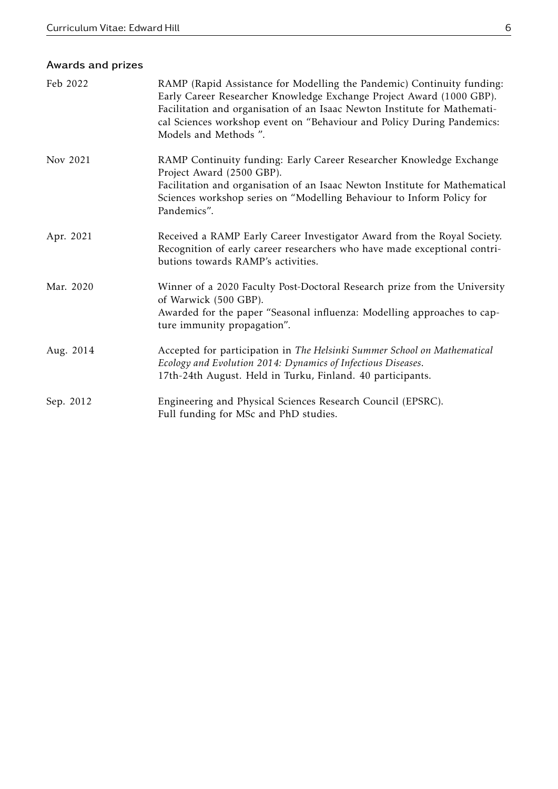# Awards and prizes

| Feb 2022  | RAMP (Rapid Assistance for Modelling the Pandemic) Continuity funding:<br>Early Career Researcher Knowledge Exchange Project Award (1000 GBP).<br>Facilitation and organisation of an Isaac Newton Institute for Mathemati-<br>cal Sciences workshop event on "Behaviour and Policy During Pandemics:<br>Models and Methods". |
|-----------|-------------------------------------------------------------------------------------------------------------------------------------------------------------------------------------------------------------------------------------------------------------------------------------------------------------------------------|
| Nov 2021  | RAMP Continuity funding: Early Career Researcher Knowledge Exchange<br>Project Award (2500 GBP).<br>Facilitation and organisation of an Isaac Newton Institute for Mathematical<br>Sciences workshop series on "Modelling Behaviour to Inform Policy for<br>Pandemics".                                                       |
| Apr. 2021 | Received a RAMP Early Career Investigator Award from the Royal Society.<br>Recognition of early career researchers who have made exceptional contri-<br>butions towards RAMP's activities.                                                                                                                                    |
| Mar. 2020 | Winner of a 2020 Faculty Post-Doctoral Research prize from the University<br>of Warwick (500 GBP).<br>Awarded for the paper "Seasonal influenza: Modelling approaches to cap-<br>ture immunity propagation".                                                                                                                  |
| Aug. 2014 | Accepted for participation in The Helsinki Summer School on Mathematical<br>Ecology and Evolution 2014: Dynamics of Infectious Diseases.<br>17th-24th August. Held in Turku, Finland. 40 participants.                                                                                                                        |
| Sep. 2012 | Engineering and Physical Sciences Research Council (EPSRC).<br>Full funding for MSc and PhD studies.                                                                                                                                                                                                                          |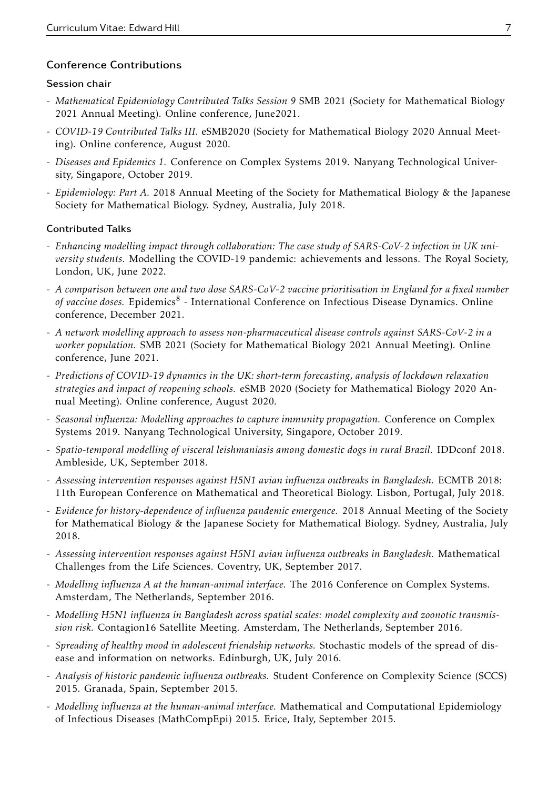## Conference Contributions

#### Session chair

- *Mathematical Epidemiology Contributed Talks Session 9* SMB 2021 (Society for Mathematical Biology 2021 Annual Meeting). Online conference, June2021.
- *COVID-19 Contributed Talks III.* eSMB2020 (Society for Mathematical Biology 2020 Annual Meeting). Online conference, August 2020.
- *Diseases and Epidemics 1.* Conference on Complex Systems 2019. Nanyang Technological University, Singapore, October 2019.
- *Epidemiology: Part A.* 2018 Annual Meeting of the Society for Mathematical Biology & the Japanese Society for Mathematical Biology. Sydney, Australia, July 2018.

#### Contributed Talks

- *Enhancing modelling impact through collaboration: The case study of SARS-CoV-2 infection in UK university students.* Modelling the COVID-19 pandemic: achievements and lessons. The Royal Society, London, UK, June 2022.
- *A comparison between one and two dose SARS-CoV-2 vaccine prioritisation in England for a fixed number* of vaccine doses. Epidemics<sup>8</sup> - International Conference on Infectious Disease Dynamics. Online conference, December 2021.
- *A network modelling approach to assess non-pharmaceutical disease controls against SARS-CoV-2 in a worker population.* SMB 2021 (Society for Mathematical Biology 2021 Annual Meeting). Online conference, June 2021.
- *Predictions of COVID-19 dynamics in the UK: short-term forecasting, analysis of lockdown relaxation strategies and impact of reopening schools.* eSMB 2020 (Society for Mathematical Biology 2020 Annual Meeting). Online conference, August 2020.
- *Seasonal influenza: Modelling approaches to capture immunity propagation.* Conference on Complex Systems 2019. Nanyang Technological University, Singapore, October 2019.
- *Spatio-temporal modelling of visceral leishmaniasis among domestic dogs in rural Brazil.* IDDconf 2018. Ambleside, UK, September 2018.
- *Assessing intervention responses against H5N1 avian influenza outbreaks in Bangladesh.* ECMTB 2018: 11th European Conference on Mathematical and Theoretical Biology. Lisbon, Portugal, July 2018.
- *Evidence for history-dependence of influenza pandemic emergence.* 2018 Annual Meeting of the Society for Mathematical Biology & the Japanese Society for Mathematical Biology. Sydney, Australia, July 2018.
- *Assessing intervention responses against H5N1 avian influenza outbreaks in Bangladesh.* Mathematical Challenges from the Life Sciences. Coventry, UK, September 2017.
- *Modelling influenza A at the human-animal interface.* The 2016 Conference on Complex Systems. Amsterdam, The Netherlands, September 2016.
- *Modelling H5N1 influenza in Bangladesh across spatial scales: model complexity and zoonotic transmission risk.* Contagion16 Satellite Meeting. Amsterdam, The Netherlands, September 2016.
- *Spreading of healthy mood in adolescent friendship networks.* Stochastic models of the spread of disease and information on networks. Edinburgh, UK, July 2016.
- *Analysis of historic pandemic influenza outbreaks.* Student Conference on Complexity Science (SCCS) 2015. Granada, Spain, September 2015.
- *Modelling influenza at the human-animal interface.* Mathematical and Computational Epidemiology of Infectious Diseases (MathCompEpi) 2015. Erice, Italy, September 2015.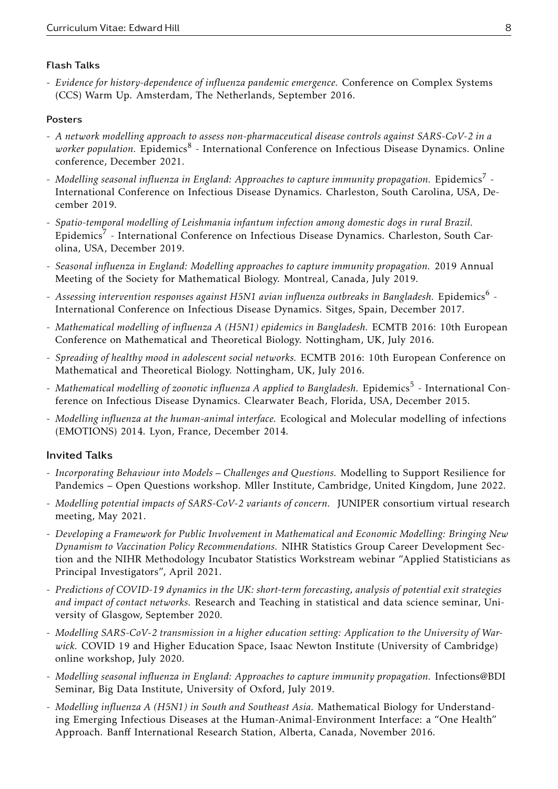## Flash Talks

- *Evidence for history-dependence of influenza pandemic emergence.* Conference on Complex Systems (CCS) Warm Up. Amsterdam, The Netherlands, September 2016.

## Posters

- *A network modelling approach to assess non-pharmaceutical disease controls against SARS-CoV-2 in a* worker population. Epidemics<sup>8</sup> - International Conference on Infectious Disease Dynamics. Online conference, December 2021.
- Modelling seasonal influenza in England: Approaches to capture immunity propagation. Epidemics $^7$  -International Conference on Infectious Disease Dynamics. Charleston, South Carolina, USA, December 2019.
- *Spatio-temporal modelling of Leishmania infantum infection among domestic dogs in rural Brazil.* Epidemics<sup>7</sup> - International Conference on Infectious Disease Dynamics. Charleston, South Carolina, USA, December 2019.
- *Seasonal influenza in England: Modelling approaches to capture immunity propagation.* 2019 Annual Meeting of the Society for Mathematical Biology. Montreal, Canada, July 2019.
- Assessing intervention responses against H5N1 avian influenza outbreaks in Bangladesh. Epidemics<sup>6</sup> -International Conference on Infectious Disease Dynamics. Sitges, Spain, December 2017.
- *Mathematical modelling of influenza A (H5N1) epidemics in Bangladesh.* ECMTB 2016: 10th European Conference on Mathematical and Theoretical Biology. Nottingham, UK, July 2016.
- *Spreading of healthy mood in adolescent social networks.* ECMTB 2016: 10th European Conference on Mathematical and Theoretical Biology. Nottingham, UK, July 2016.
- Mathematical modelling of zoonotic influenza A applied to Bangladesh. Epidemics<sup>5</sup> International Conference on Infectious Disease Dynamics. Clearwater Beach, Florida, USA, December 2015.
- *Modelling influenza at the human-animal interface.* Ecological and Molecular modelling of infections (EMOTIONS) 2014. Lyon, France, December 2014.

## Invited Talks

- *Incorporating Behaviour into Models Challenges and Questions.* Modelling to Support Resilience for Pandemics – Open Questions workshop. Mller Institute, Cambridge, United Kingdom, June 2022.
- *Modelling potential impacts of SARS-CoV-2 variants of concern.* JUNIPER consortium virtual research meeting, May 2021.
- *Developing a Framework for Public Involvement in Mathematical and Economic Modelling: Bringing New Dynamism to Vaccination Policy Recommendations.* NIHR Statistics Group Career Development Section and the NIHR Methodology Incubator Statistics Workstream webinar "Applied Statisticians as Principal Investigators", April 2021.
- *Predictions of COVID-19 dynamics in the UK: short-term forecasting, analysis of potential exit strategies and impact of contact networks.* Research and Teaching in statistical and data science seminar, University of Glasgow, September 2020.
- *Modelling SARS-CoV-2 transmission in a higher education setting: Application to the University of Warwick.* COVID 19 and Higher Education Space, Isaac Newton Institute (University of Cambridge) online workshop, July 2020.
- *Modelling seasonal influenza in England: Approaches to capture immunity propagation.* Infections@BDI Seminar, Big Data Institute, University of Oxford, July 2019.
- *Modelling influenza A (H5N1) in South and Southeast Asia.* Mathematical Biology for Understanding Emerging Infectious Diseases at the Human-Animal-Environment Interface: a "One Health" Approach. Banff International Research Station, Alberta, Canada, November 2016.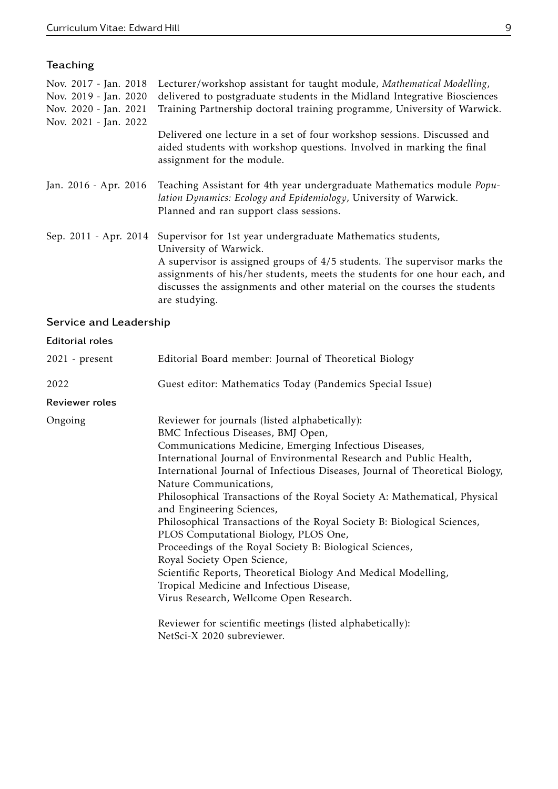| Teaching              |                                                                                                                                                                                                                                                      |
|-----------------------|------------------------------------------------------------------------------------------------------------------------------------------------------------------------------------------------------------------------------------------------------|
| Nov. 2017 - Jan. 2018 | Lecturer/workshop assistant for taught module, Mathematical Modelling,                                                                                                                                                                               |
| Nov. 2019 - Jan. 2020 | delivered to postgraduate students in the Midland Integrative Biosciences                                                                                                                                                                            |
| Nov. 2020 - Jan. 2021 | Training Partnership doctoral training programme, University of Warwick.                                                                                                                                                                             |
| Nov. 2021 - Jan. 2022 |                                                                                                                                                                                                                                                      |
|                       | Delivered one lecture in a set of four workshop sessions. Discussed and<br>aided students with workshop questions. Involved in marking the final<br>assignment for the module.                                                                       |
| Jan. 2016 - Apr. 2016 | Teaching Assistant for 4th year undergraduate Mathematics module Popu-<br>lation Dynamics: Ecology and Epidemiology, University of Warwick.<br>Planned and ran support class sessions.                                                               |
| Sep. 2011 - Apr. 2014 | Supervisor for 1st year undergraduate Mathematics students,                                                                                                                                                                                          |
|                       | University of Warwick.                                                                                                                                                                                                                               |
|                       | A supervisor is assigned groups of 4/5 students. The supervisor marks the<br>assignments of his/her students, meets the students for one hour each, and<br>discusses the assignments and other material on the courses the students<br>are studying. |

# Service and Leadership

### Editorial roles

| $2021$ - present | Editorial Board member: Journal of Theoretical Biology                                                                                                                                                                                                                                                                                                                                                                                                                                                                                                                                                                                                                                                                                                                                                                                                                                                        |
|------------------|---------------------------------------------------------------------------------------------------------------------------------------------------------------------------------------------------------------------------------------------------------------------------------------------------------------------------------------------------------------------------------------------------------------------------------------------------------------------------------------------------------------------------------------------------------------------------------------------------------------------------------------------------------------------------------------------------------------------------------------------------------------------------------------------------------------------------------------------------------------------------------------------------------------|
| 2022             | Guest editor: Mathematics Today (Pandemics Special Issue)                                                                                                                                                                                                                                                                                                                                                                                                                                                                                                                                                                                                                                                                                                                                                                                                                                                     |
| Reviewer roles   |                                                                                                                                                                                                                                                                                                                                                                                                                                                                                                                                                                                                                                                                                                                                                                                                                                                                                                               |
| Ongoing          | Reviewer for journals (listed alphabetically):<br>BMC Infectious Diseases, BMJ Open,<br>Communications Medicine, Emerging Infectious Diseases,<br>International Journal of Environmental Research and Public Health,<br>International Journal of Infectious Diseases, Journal of Theoretical Biology,<br>Nature Communications,<br>Philosophical Transactions of the Royal Society A: Mathematical, Physical<br>and Engineering Sciences,<br>Philosophical Transactions of the Royal Society B: Biological Sciences,<br>PLOS Computational Biology, PLOS One,<br>Proceedings of the Royal Society B: Biological Sciences,<br>Royal Society Open Science,<br>Scientific Reports, Theoretical Biology And Medical Modelling,<br>Tropical Medicine and Infectious Disease,<br>Virus Research, Wellcome Open Research.<br>Reviewer for scientific meetings (listed alphabetically):<br>NetSci-X 2020 subreviewer. |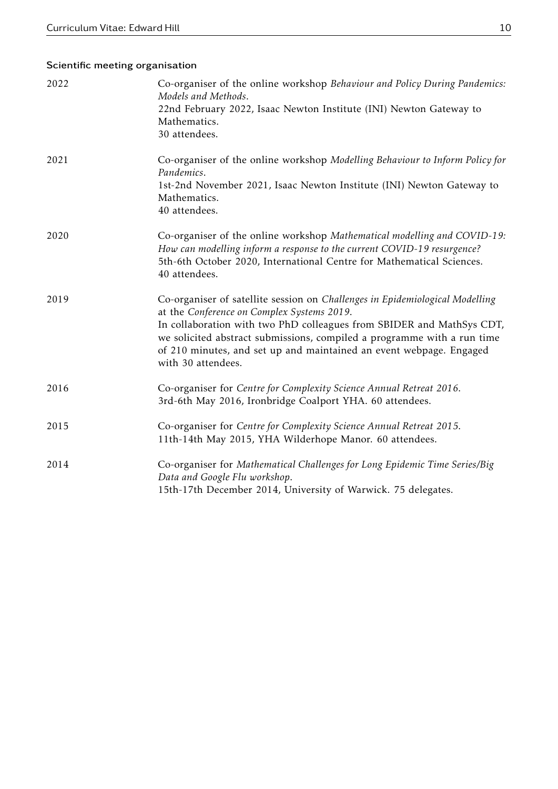## Scientific meeting organisation

| 2022 | Co-organiser of the online workshop Behaviour and Policy During Pandemics:<br>Models and Methods.<br>22nd February 2022, Isaac Newton Institute (INI) Newton Gateway to<br>Mathematics.<br>30 attendees.                                                                                                                                                                    |
|------|-----------------------------------------------------------------------------------------------------------------------------------------------------------------------------------------------------------------------------------------------------------------------------------------------------------------------------------------------------------------------------|
| 2021 | Co-organiser of the online workshop Modelling Behaviour to Inform Policy for<br>Pandemics.<br>1st-2nd November 2021, Isaac Newton Institute (INI) Newton Gateway to<br>Mathematics.<br>40 attendees.                                                                                                                                                                        |
| 2020 | Co-organiser of the online workshop Mathematical modelling and COVID-19:<br>How can modelling inform a response to the current COVID-19 resurgence?<br>5th-6th October 2020, International Centre for Mathematical Sciences.<br>40 attendees.                                                                                                                               |
| 2019 | Co-organiser of satellite session on Challenges in Epidemiological Modelling<br>at the Conference on Complex Systems 2019.<br>In collaboration with two PhD colleagues from SBIDER and MathSys CDT,<br>we solicited abstract submissions, compiled a programme with a run time<br>of 210 minutes, and set up and maintained an event webpage. Engaged<br>with 30 attendees. |
| 2016 | Co-organiser for Centre for Complexity Science Annual Retreat 2016.<br>3rd-6th May 2016, Ironbridge Coalport YHA. 60 attendees.                                                                                                                                                                                                                                             |
| 2015 | Co-organiser for Centre for Complexity Science Annual Retreat 2015.<br>11th-14th May 2015, YHA Wilderhope Manor. 60 attendees.                                                                                                                                                                                                                                              |
| 2014 | Co-organiser for Mathematical Challenges for Long Epidemic Time Series/Big<br>Data and Google Flu workshop.<br>15th-17th December 2014, University of Warwick. 75 delegates.                                                                                                                                                                                                |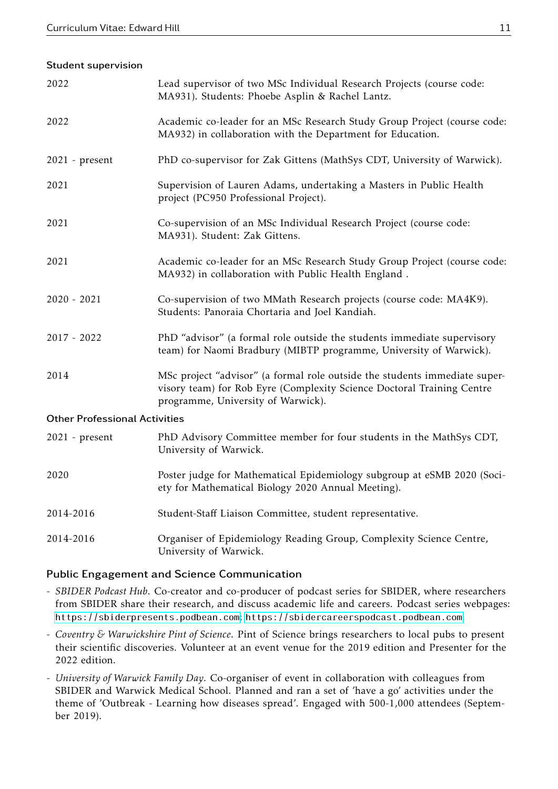#### Student supervision

| 2022                                 | Lead supervisor of two MSc Individual Research Projects (course code:<br>MA931). Students: Phoebe Asplin & Rachel Lantz.                                                                   |
|--------------------------------------|--------------------------------------------------------------------------------------------------------------------------------------------------------------------------------------------|
| 2022                                 | Academic co-leader for an MSc Research Study Group Project (course code:<br>MA932) in collaboration with the Department for Education.                                                     |
| 2021 - present                       | PhD co-supervisor for Zak Gittens (MathSys CDT, University of Warwick).                                                                                                                    |
| 2021                                 | Supervision of Lauren Adams, undertaking a Masters in Public Health<br>project (PC950 Professional Project).                                                                               |
| 2021                                 | Co-supervision of an MSc Individual Research Project (course code:<br>MA931). Student: Zak Gittens.                                                                                        |
| 2021                                 | Academic co-leader for an MSc Research Study Group Project (course code:<br>MA932) in collaboration with Public Health England.                                                            |
| $2020 - 2021$                        | Co-supervision of two MMath Research projects (course code: MA4K9).<br>Students: Panoraia Chortaria and Joel Kandiah.                                                                      |
| $2017 - 2022$                        | PhD "advisor" (a formal role outside the students immediate supervisory<br>team) for Naomi Bradbury (MIBTP programme, University of Warwick).                                              |
| 2014                                 | MSc project "advisor" (a formal role outside the students immediate super-<br>visory team) for Rob Eyre (Complexity Science Doctoral Training Centre<br>programme, University of Warwick). |
| <b>Other Professional Activities</b> |                                                                                                                                                                                            |
| $2021$ - present                     | PhD Advisory Committee member for four students in the MathSys CDT,<br>University of Warwick.                                                                                              |
| 2020                                 | Poster judge for Mathematical Epidemiology subgroup at eSMB 2020 (Soci-<br>ety for Mathematical Biology 2020 Annual Meeting).                                                              |
| 2014-2016                            | Student-Staff Liaison Committee, student representative.                                                                                                                                   |
| 2014-2016                            | Organiser of Epidemiology Reading Group, Complexity Science Centre,<br>University of Warwick.                                                                                              |

### Public Engagement and Science Communication

- *SBIDER Podcast Hub*. Co-creator and co-producer of podcast series for SBIDER, where researchers from SBIDER share their research, and discuss academic life and careers. Podcast series webpages: <https://sbiderpresents.podbean.com>; <https://sbidercareerspodcast.podbean.com>.
- *Coventry & Warwickshire Pint of Science*. Pint of Science brings researchers to local pubs to present their scientific discoveries. Volunteer at an event venue for the 2019 edition and Presenter for the 2022 edition.
- *University of Warwick Family Day*. Co-organiser of event in collaboration with colleagues from SBIDER and Warwick Medical School. Planned and ran a set of 'have a go' activities under the theme of 'Outbreak - Learning how diseases spread'. Engaged with 500-1,000 attendees (September 2019).